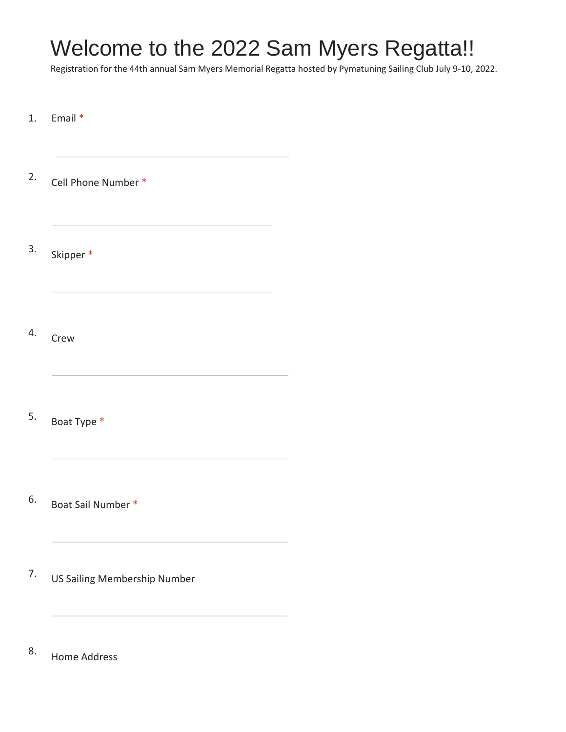# Welcome to the 2022 Sam Myers Regatta!!

Registration for the 44th annual Sam Myers Memorial Regatta hosted by Pymatuning Sailing Club July 9-10, 2022.

1. Email \* 2. Cell Phone Number \* 3. Skipper \* 4. Crew 5. Boat Type \* 6. Boat Sail Number \* 7. US Sailing Membership Number

8. Home Address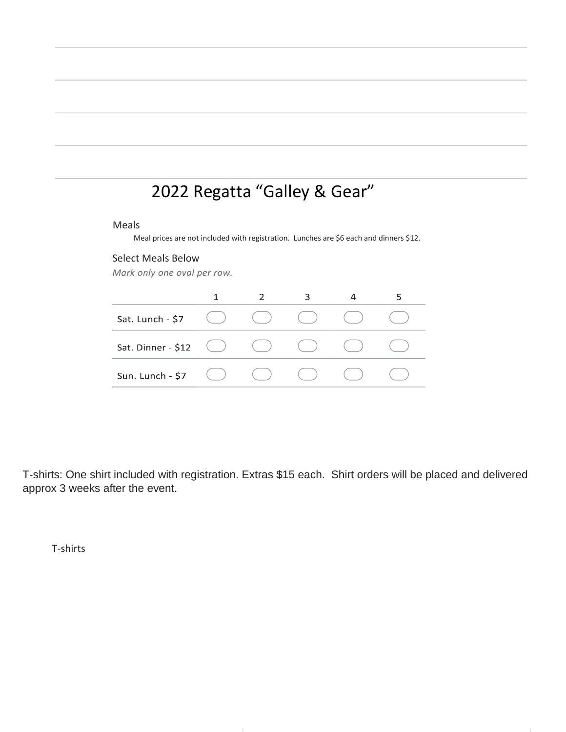## 2022 Regatta "Galley & Gear"

#### Meals

Meal prices are not included with registration. Lunches are \$6 each and dinners \$12.

#### Select Meals Below

Mark only one oval per row.

| Sat. Lunch - \$7   |  |  |  |
|--------------------|--|--|--|
| Sat. Dinner - \$12 |  |  |  |
| Sun. Lunch - \$7   |  |  |  |

T-shirts: One shirt included with registration. Extras \$15 each. Shirt orders will be placed and delivered approx 3 weeks after the event.

T-shirts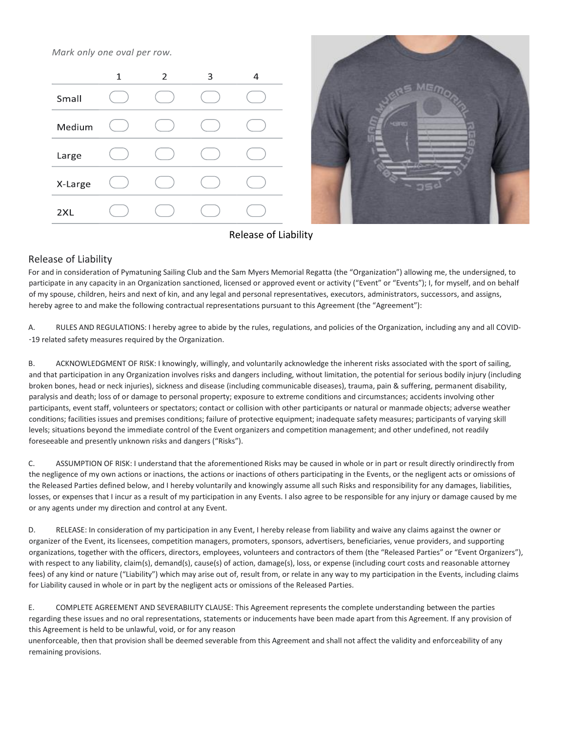Mark only one oval per row.





### Release of Liability

#### Release of Liability

For and in consideration of Pymatuning Sailing Club and the Sam Myers Memorial Regatta (the "Organization") allowing me, the undersigned, to participate in any capacity in an Organization sanctioned, licensed or approved event or activity ("Event" or "Events"); I, for myself, and on behalf of my spouse, children, heirs and next of kin, and any legal and personal representatives, executors, administrators, successors, and assigns, hereby agree to and make the following contractual representations pursuant to this Agreement (the "Agreement"):

A. RULES AND REGULATIONS: I hereby agree to abide by the rules, regulations, and policies of the Organization, including any and all COVID- ‐19 related safety measures required by the Organization.

B. ACKNOWLEDGMENT OF RISK: I knowingly, willingly, and voluntarily acknowledge the inherent risks associated with the sport of sailing, and that participation in any Organization involves risks and dangers including, without limitation, the potential for serious bodily injury (including broken bones, head or neck injuries), sickness and disease (including communicable diseases), trauma, pain & suffering, permanent disability, paralysis and death; loss of or damage to personal property; exposure to extreme conditions and circumstances; accidents involving other participants, event staff, volunteers or spectators; contact or collision with other participants or natural or manmade objects; adverse weather conditions; facilities issues and premises conditions; failure of protective equipment; inadequate safety measures; participants of varying skill levels; situations beyond the immediate control of the Event organizers and competition management; and other undefined, not readily foreseeable and presently unknown risks and dangers ("Risks").

C. ASSUMPTION OF RISK: I understand that the aforementioned Risks may be caused in whole or in part or result directly orindirectly from the negligence of my own actions or inactions, the actions or inactions of others participating in the Events, or the negligent acts or omissions of the Released Parties defined below, and I hereby voluntarily and knowingly assume all such Risks and responsibility for any damages, liabilities, losses, or expenses that I incur as a result of my participation in any Events. I also agree to be responsible for any injury or damage caused by me or any agents under my direction and control at any Event.

D. RELEASE: In consideration of my participation in any Event, I hereby release from liability and waive any claims against the owner or organizer of the Event, its licensees, competition managers, promoters, sponsors, advertisers, beneficiaries, venue providers, and supporting organizations, together with the officers, directors, employees, volunteers and contractors of them (the "Released Parties" or "Event Organizers"), with respect to any liability, claim(s), demand(s), cause(s) of action, damage(s), loss, or expense (including court costs and reasonable attorney fees) of any kind or nature ("Liability") which may arise out of, result from, or relate in any way to my participation in the Events, including claims for Liability caused in whole or in part by the negligent acts or omissions of the Released Parties.

E. COMPLETE AGREEMENT AND SEVERABILITY CLAUSE: This Agreement represents the complete understanding between the parties regarding these issues and no oral representations, statements or inducements have been made apart from this Agreement. If any provision of this Agreement is held to be unlawful, void, or for any reason

unenforceable, then that provision shall be deemed severable from this Agreement and shall not affect the validity and enforceability of any remaining provisions.